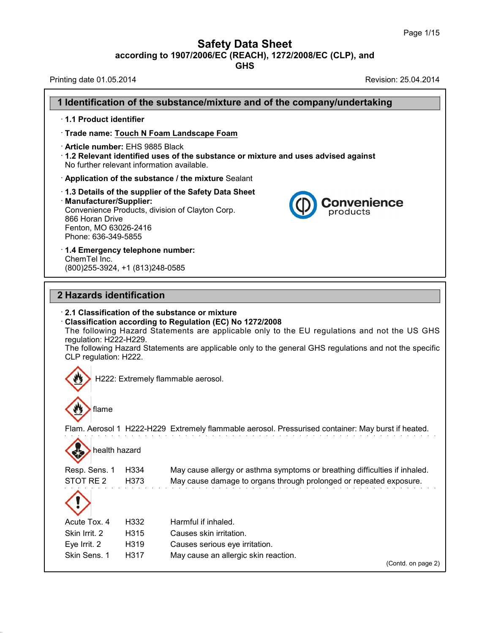## **Safety Data Sheet**

**according to 1907/2006/EC (REACH), 1272/2008/EC (CLP),and**

**GHS**

Printing date 01.05.2014 **Printing date 01.05.2014** 

38.0.33

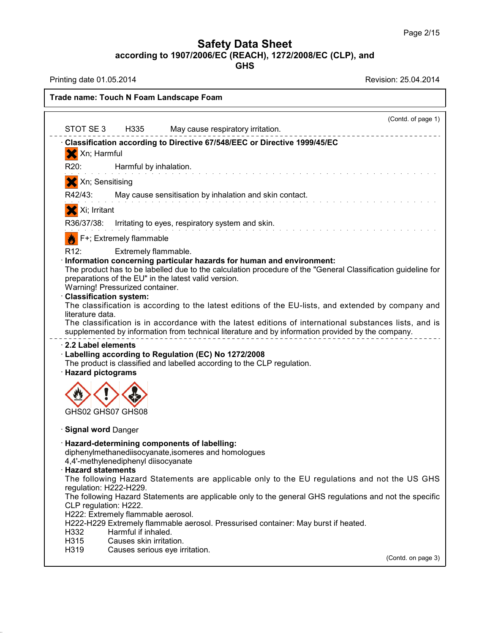**GHS**

Printing date 01.05.2014 **Revision: 25.04.2014** 

38.0.33

**Trade name: Touch N Foam Landscape Foam**

| STOT SE 3 H335<br>Classification according to Directive 67/548/EEC or Directive 1999/45/EC<br>Xn; Harmful<br>X<br>R <sub>20</sub> :<br>Harmful by inhalation.<br>Xn; Sensitising<br>R42/43:<br>May cause sensitisation by inhalation and skin contact.<br>X Xi; Irritant<br>R36/37/38: Irritating to eyes, respiratory system and skin.<br>F+; Extremely flammable<br>R <sub>12</sub> :<br>Extremely flammable.<br>Information concerning particular hazards for human and environment:<br>The product has to be labelled due to the calculation procedure of the "General Classification guideline for<br>preparations of the EU" in the latest valid version.<br>Warning! Pressurized container.<br><b>Classification system:</b><br>The classification is according to the latest editions of the EU-lists, and extended by company and<br>literature data.<br>The classification is in accordance with the latest editions of international substances lists, and is<br>supplemented by information from technical literature and by information provided by the company.<br>$\cdot$ 2.2 Label elements<br>Labelling according to Regulation (EC) No 1272/2008<br>The product is classified and labelled according to the CLP regulation.<br>· Hazard pictograms<br>GHS02 GHS07 GHS08<br><b>Signal word Danger</b><br>· Hazard-determining components of labelling:<br>diphenylmethanediisocyanate, isomeres and homologues<br>4,4'-methylenediphenyl diisocyanate<br><b>Hazard statements</b><br>The following Hazard Statements are applicable only to the EU regulations and not the US GHS<br>regulation: H222-H229.<br>The following Hazard Statements are applicable only to the general GHS regulations and not the specific<br>CLP regulation: H222.<br>H222: Extremely flammable aerosol.<br>H222-H229 Extremely flammable aerosol. Pressurised container: May burst if heated.<br>H332<br>Harmful if inhaled.<br>H315<br>Causes skin irritation.<br>H319<br>Causes serious eye irritation.<br>(Contd. on page 3) |  | (Contd. of page 1)<br>May cause respiratory irritation. |
|--------------------------------------------------------------------------------------------------------------------------------------------------------------------------------------------------------------------------------------------------------------------------------------------------------------------------------------------------------------------------------------------------------------------------------------------------------------------------------------------------------------------------------------------------------------------------------------------------------------------------------------------------------------------------------------------------------------------------------------------------------------------------------------------------------------------------------------------------------------------------------------------------------------------------------------------------------------------------------------------------------------------------------------------------------------------------------------------------------------------------------------------------------------------------------------------------------------------------------------------------------------------------------------------------------------------------------------------------------------------------------------------------------------------------------------------------------------------------------------------------------------------------------------------------------------------------------------------------------------------------------------------------------------------------------------------------------------------------------------------------------------------------------------------------------------------------------------------------------------------------------------------------------------------------------------------------------------------------------------------------------------------------------|--|---------------------------------------------------------|
|                                                                                                                                                                                                                                                                                                                                                                                                                                                                                                                                                                                                                                                                                                                                                                                                                                                                                                                                                                                                                                                                                                                                                                                                                                                                                                                                                                                                                                                                                                                                                                                                                                                                                                                                                                                                                                                                                                                                                                                                                                |  |                                                         |
|                                                                                                                                                                                                                                                                                                                                                                                                                                                                                                                                                                                                                                                                                                                                                                                                                                                                                                                                                                                                                                                                                                                                                                                                                                                                                                                                                                                                                                                                                                                                                                                                                                                                                                                                                                                                                                                                                                                                                                                                                                |  |                                                         |
|                                                                                                                                                                                                                                                                                                                                                                                                                                                                                                                                                                                                                                                                                                                                                                                                                                                                                                                                                                                                                                                                                                                                                                                                                                                                                                                                                                                                                                                                                                                                                                                                                                                                                                                                                                                                                                                                                                                                                                                                                                |  |                                                         |
|                                                                                                                                                                                                                                                                                                                                                                                                                                                                                                                                                                                                                                                                                                                                                                                                                                                                                                                                                                                                                                                                                                                                                                                                                                                                                                                                                                                                                                                                                                                                                                                                                                                                                                                                                                                                                                                                                                                                                                                                                                |  |                                                         |
|                                                                                                                                                                                                                                                                                                                                                                                                                                                                                                                                                                                                                                                                                                                                                                                                                                                                                                                                                                                                                                                                                                                                                                                                                                                                                                                                                                                                                                                                                                                                                                                                                                                                                                                                                                                                                                                                                                                                                                                                                                |  |                                                         |
|                                                                                                                                                                                                                                                                                                                                                                                                                                                                                                                                                                                                                                                                                                                                                                                                                                                                                                                                                                                                                                                                                                                                                                                                                                                                                                                                                                                                                                                                                                                                                                                                                                                                                                                                                                                                                                                                                                                                                                                                                                |  |                                                         |
|                                                                                                                                                                                                                                                                                                                                                                                                                                                                                                                                                                                                                                                                                                                                                                                                                                                                                                                                                                                                                                                                                                                                                                                                                                                                                                                                                                                                                                                                                                                                                                                                                                                                                                                                                                                                                                                                                                                                                                                                                                |  |                                                         |
|                                                                                                                                                                                                                                                                                                                                                                                                                                                                                                                                                                                                                                                                                                                                                                                                                                                                                                                                                                                                                                                                                                                                                                                                                                                                                                                                                                                                                                                                                                                                                                                                                                                                                                                                                                                                                                                                                                                                                                                                                                |  |                                                         |
|                                                                                                                                                                                                                                                                                                                                                                                                                                                                                                                                                                                                                                                                                                                                                                                                                                                                                                                                                                                                                                                                                                                                                                                                                                                                                                                                                                                                                                                                                                                                                                                                                                                                                                                                                                                                                                                                                                                                                                                                                                |  |                                                         |
|                                                                                                                                                                                                                                                                                                                                                                                                                                                                                                                                                                                                                                                                                                                                                                                                                                                                                                                                                                                                                                                                                                                                                                                                                                                                                                                                                                                                                                                                                                                                                                                                                                                                                                                                                                                                                                                                                                                                                                                                                                |  |                                                         |
|                                                                                                                                                                                                                                                                                                                                                                                                                                                                                                                                                                                                                                                                                                                                                                                                                                                                                                                                                                                                                                                                                                                                                                                                                                                                                                                                                                                                                                                                                                                                                                                                                                                                                                                                                                                                                                                                                                                                                                                                                                |  |                                                         |
|                                                                                                                                                                                                                                                                                                                                                                                                                                                                                                                                                                                                                                                                                                                                                                                                                                                                                                                                                                                                                                                                                                                                                                                                                                                                                                                                                                                                                                                                                                                                                                                                                                                                                                                                                                                                                                                                                                                                                                                                                                |  |                                                         |
|                                                                                                                                                                                                                                                                                                                                                                                                                                                                                                                                                                                                                                                                                                                                                                                                                                                                                                                                                                                                                                                                                                                                                                                                                                                                                                                                                                                                                                                                                                                                                                                                                                                                                                                                                                                                                                                                                                                                                                                                                                |  |                                                         |
|                                                                                                                                                                                                                                                                                                                                                                                                                                                                                                                                                                                                                                                                                                                                                                                                                                                                                                                                                                                                                                                                                                                                                                                                                                                                                                                                                                                                                                                                                                                                                                                                                                                                                                                                                                                                                                                                                                                                                                                                                                |  |                                                         |
|                                                                                                                                                                                                                                                                                                                                                                                                                                                                                                                                                                                                                                                                                                                                                                                                                                                                                                                                                                                                                                                                                                                                                                                                                                                                                                                                                                                                                                                                                                                                                                                                                                                                                                                                                                                                                                                                                                                                                                                                                                |  |                                                         |
|                                                                                                                                                                                                                                                                                                                                                                                                                                                                                                                                                                                                                                                                                                                                                                                                                                                                                                                                                                                                                                                                                                                                                                                                                                                                                                                                                                                                                                                                                                                                                                                                                                                                                                                                                                                                                                                                                                                                                                                                                                |  |                                                         |
|                                                                                                                                                                                                                                                                                                                                                                                                                                                                                                                                                                                                                                                                                                                                                                                                                                                                                                                                                                                                                                                                                                                                                                                                                                                                                                                                                                                                                                                                                                                                                                                                                                                                                                                                                                                                                                                                                                                                                                                                                                |  |                                                         |
|                                                                                                                                                                                                                                                                                                                                                                                                                                                                                                                                                                                                                                                                                                                                                                                                                                                                                                                                                                                                                                                                                                                                                                                                                                                                                                                                                                                                                                                                                                                                                                                                                                                                                                                                                                                                                                                                                                                                                                                                                                |  |                                                         |
|                                                                                                                                                                                                                                                                                                                                                                                                                                                                                                                                                                                                                                                                                                                                                                                                                                                                                                                                                                                                                                                                                                                                                                                                                                                                                                                                                                                                                                                                                                                                                                                                                                                                                                                                                                                                                                                                                                                                                                                                                                |  |                                                         |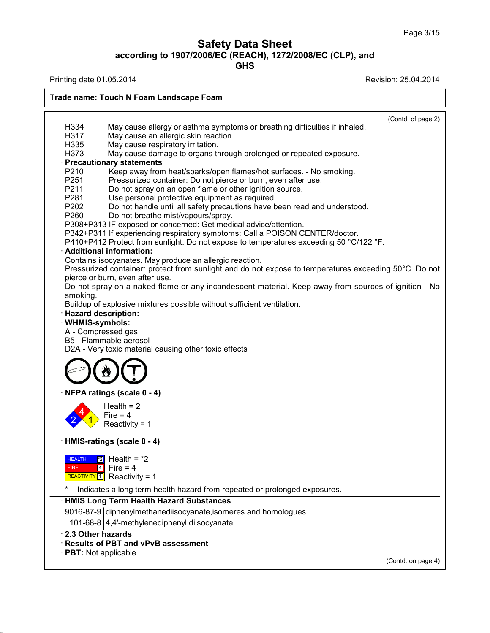**GHS**

Printing date 01.05.2014 **Review 1.03.2014** Revision: 25.04.2014

38.0.33

**Trade name: Touch N Foam Landscape Foam** (Contd. of page 2) H334 May cause allergy or asthma symptoms or breathing difficulties if inhaled.<br>H317 May cause an allergic skin reaction. H317 May cause an allergic skin reaction.<br>H335 May cause respiratory irritation. May cause respiratory irritation. H373 May cause damage to organs through prolonged or repeated exposure. **Precautionary statements**<br>P210 Keep away from P210 Keep away from heat/sparks/open flames/hot surfaces. - No smoking.<br>P251 Pressurized container: Do not pierce or burn, even after use. P251 Pressurized container: Do not pierce or burn, even after use.<br>P211 Do not spray on an open flame or other ignition source. P211 Do not spray on an open flame or other ignition source.<br>P281 Use personal protective equipment as required. P281 Use personal protective equipment as required.<br>P202 Do not handle until all safety precautions have b Do not handle until all safety precautions have been read and understood. P260 Do not breathe mist/vapours/spray. P308+P313 IF exposed or concerned: Get medical advice/attention. P342+P311 If experiencing respiratory symptoms: Call a POISON CENTER/doctor. P410+P412 Protect from sunlight. Do not expose to temperatures exceeding 50 °C/122 °F. · **Additional information:** Contains isocyanates. May produce an allergic reaction. Pressurized container: protect from sunlight and do not expose to temperatures exceeding 50°C. Do not pierce or burn, even after use. Do not spray on a naked flame or any incandescent material. Keep away from sources of ignition - No smoking. Buildup of explosive mixtures possible without sufficient ventilation. · **Hazard description:** · **WHMIS-symbols:** A - Compressed gas B5 - Flammable aerosol D2A - Very toxic material causing other toxic effects · **NFPA ratings (scale 0 - 4)**  $\frac{2}{\sqrt{1}}$  Reactivity = 1  $\frac{4}{1}$  Fire = 4  $Health = 2$ · **HMIS-ratings (scale 0 - 4) HEALTH** FIRE  $\begin{array}{|c|c|c|c|c|}\n\hline\n\text{FIRE} & \text{4} & \text{Fire} = 4 \\
\hline\n\end{array}$ REALTH 2 Health = \*2<br>FIRE 4 Fire = 4<br>REACTIVITY [1] Reactivity = 1  $\overline{2}$  Health = \*2 \* - Indicates a long term health hazard from repeated or prolonged exposures. · **HMIS Long Term Health Hazard Substances** 9016-87-9 diphenylmethanediisocyanate, isomeres and homologues 101-68-8 4,4'-methylenediphenyl diisocyanate · **2.3 Other hazards** · **Results of PBT and vPvB assessment** · **PBT:** Not applicable. (Contd. on page 4)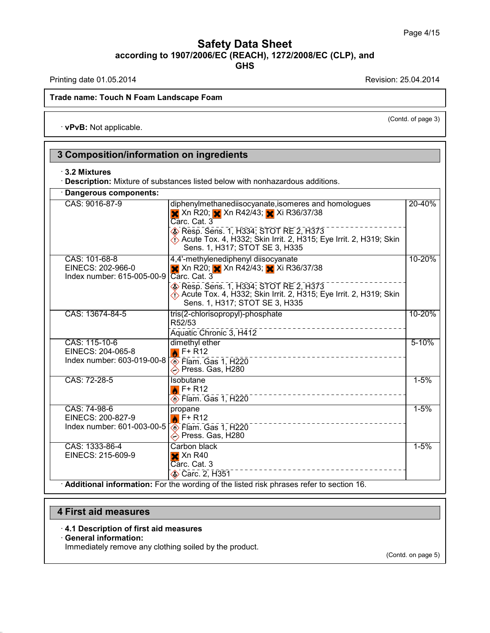Printing date 01.05.2014 **Printing date 01.05.2014** 

(Contd. of page 3)

#### **Trade name: Touch N Foam Landscape Foam**

· **vPvB:** Not applicable.

**3 Composition/information on ingredients** · **3.2 Mixtures** · **Description:** Mixture of substances listed below with nonhazardous additions. · **Dangerous components:** CAS: 9016-87-9 diphenylmethanediisocyanate,isomeres and homologues  $\times$  Xn R20;  $\times$  Xn R42/43;  $\times$  Xi R36/37/38 Carc. Cat. 3 **B** Resp. Sens. 1, H334; STOT RE 2, H373 Acute Tox. 4, H332; Skin Irrit. 2, H315; Eye Irrit. 2, H319; Skin Sens. 1, H317; STOT SE 3, H335 20-40% CAS: 101-68-8 EINECS: 202-966-0 Index number: 615-005-00-9 4,4'-methylenediphenyl diisocyanate **X** Xn R20; X Xn R42/43; X Xi R36/37/38 Carc. Cat. 3 Resp. Sens. 1, H334; STOT RE 2, H373 Acute Tox. 4, H332; Skin Irrit. 2, H315; Eye Irrit. 2, H319; Skin Sens. 1, H317; STOT SE 3, H335 10-20% CAS: 13674-84-5 | tris(2-chlorisopropyl)-phosphate R52/53 Aquatic Chronic 3, H412 10-20% CAS: 115-10-6 EINECS: 204-065-8 Index number: 603-019-00-8 dimethyl ether  $\bigtriangledown$ F+ R12  $\overline{\textcircled{}}$  Flam. Gas 1, H220 **EXPress. Gas, H280** 5-10% CAS: 72-28-5 **Isobutane**  $\bigwedge$  F+ R12  $\circledcirc$  Flam. Gas 1, H220 1-5% CAS: 74-98-6 EINECS: 200-827-9 Index number: 601-003-00-5 propane  $\bigcirc$  F+ R12 **S** Flam. Gas 1, H220 **EXPress. Gas, H280** 1-5% CAS: 1333-86-4 EINECS: 215-609-9 Carbon black  $\times$  Xn R40 Carc. Cat. 3 Carc. 2, H351 1-5%

· **Additional information:** For the wording of the listed risk phrases refer to section 16.

## **4 First aid measures**

#### · **4.1 Description of first aid measures**

#### · **General information:**

38.0.33

Immediately remove any clothing soiled by the product.

(Contd. on page 5)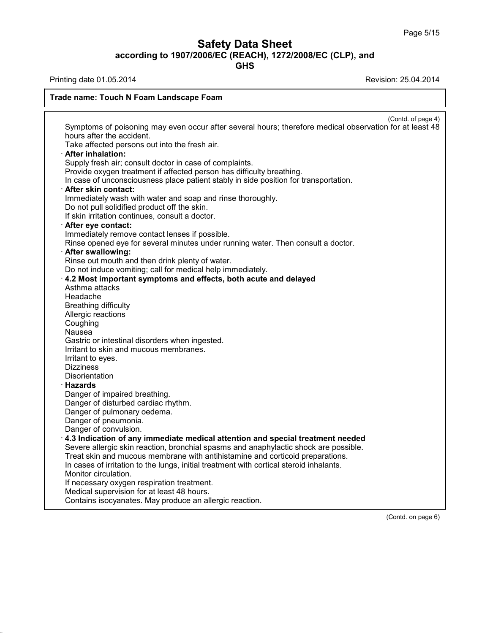**GHS**

Printing date 01.05.2014 **Printing date 01.05.2014** 

38.0.33

### **Trade name: Touch N Foam Landscape Foam**

(Contd. of page 4) Symptoms of poisoning may even occur after several hours; therefore medical observation for at least 48 hours after the accident. Take affected persons out into the fresh air. · **After inhalation:** Supply fresh air; consult doctor in case of complaints. Provide oxygen treatment if affected person has difficulty breathing. In case of unconsciousness place patient stably in side position for transportation. · **After skin contact:** Immediately wash with water and soap and rinse thoroughly. Do not pull solidified product off the skin. If skin irritation continues, consult a doctor. · **After eye contact:** Immediately remove contact lenses if possible. Rinse opened eye for several minutes under running water. Then consult a doctor. · **After swallowing:** Rinse out mouth and then drink plenty of water. Do not induce vomiting; call for medical help immediately. · **4.2 Most important symptoms and effects, both acute and delayed** Asthma attacks Headache Breathing difficulty Allergic reactions Coughing Nausea Gastric or intestinal disorders when ingested. Irritant to skin and mucous membranes. Irritant to eyes. Dizziness **Disorientation** · **Hazards** Danger of impaired breathing. Danger of disturbed cardiac rhythm. Danger of pulmonary oedema. Danger of pneumonia. Danger of convulsion. · **4.3 Indication of any immediate medical attention and special treatment needed** Severe allergic skin reaction, bronchial spasms and anaphylactic shock are possible. Treat skin and mucous membrane with antihistamine and corticoid preparations. In cases of irritation to the lungs, initial treatment with cortical steroid inhalants. Monitor circulation. If necessary oxygen respiration treatment. Medical supervision for at least 48 hours. Contains isocyanates. May produce an allergic reaction.

(Contd. on page 6)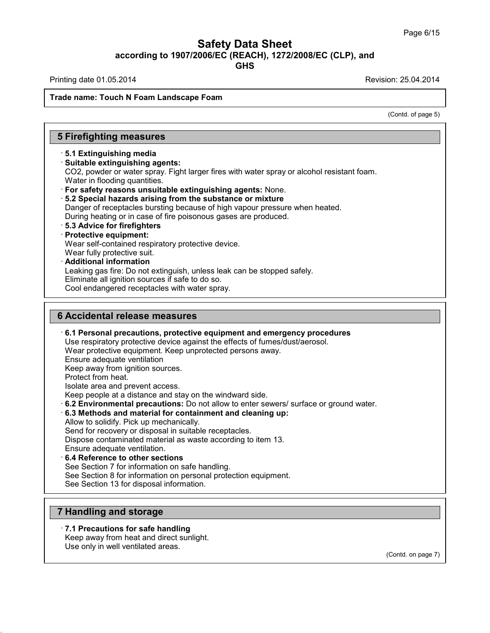Printing date 01.05.2014 **Printing date 01.05.2014** 

#### **Trade name: Touch N Foam Landscape Foam**

(Contd. of page 5)

## **5 Firefighting measures**

## · **5.1 Extinguishing media**

#### · **Suitable extinguishing agents:**

CO2, powder or water spray. Fight larger fires with water spray or alcohol resistant foam. Water in flooding quantities.

- · **For safety reasons unsuitable extinguishing agents:** None.
- · **5.2 Special hazards arising from the substance ormixture**
- Danger of receptacles bursting because of high vapour pressure when heated.
- During heating or in case of fire poisonous gases are produced.
- · **5.3 Advice for firefighters**

## · **Protective equipment:**

Wear self-contained respiratory protective device.

Wear fully protective suit.

#### · **Additional information**

Leaking gas fire: Do not extinguish, unless leak can be stopped safely.

Eliminate all ignition sources if safe to do so.

Cool endangered receptacles with water spray.

## **6 Accidental release measures**

#### · **6.1 Personal precautions, protective equipment and emergency procedures** Use respiratory protective device against the effects of fumes/dust/aerosol. Wear protective equipment. Keep unprotected persons away. Ensure adequate ventilation Keep away from ignition sources. Protect from heat. Isolate area and prevent access. Keep people at a distance and stay on the windward side. · **6.2 Environmental precautions:** Do not allow to enter sewers/ surface or ground water. · **6.3 Methods and material for containment and cleaning up:** Allow to solidify. Pick up mechanically. Send for recovery or disposal in suitable receptacles. Dispose contaminated material as waste according to item 13. Ensure adequate ventilation. · **6.4 Reference to other sections** See Section 7 for information on safe handling. See Section 8 for information on personal protection equipment. See Section 13 for disposal information.

## **7 Handling and storage**

38.0.33

### · **7.1 Precautions for safe handling**

Keep away from heat and direct sunlight. Use only in well ventilated areas.

(Contd. on page 7)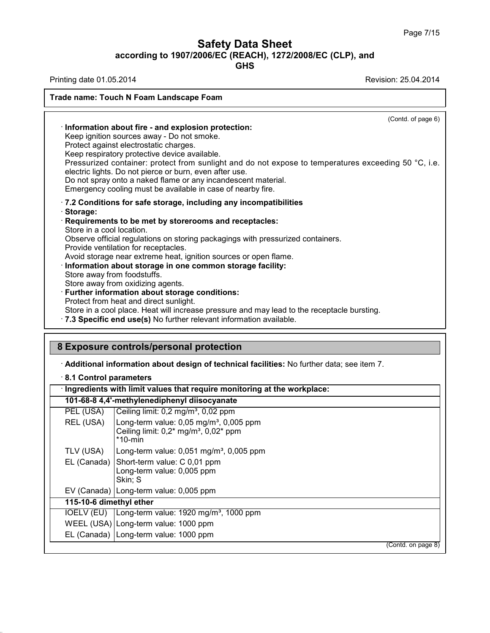T

## **Safety Data Sheet according to 1907/2006/EC (REACH), 1272/2008/EC (CLP),and**

**GHS**

Printing date 01.05.2014 **Revision: 25.04.2014** 

38.0.33

| (Contd. of page 6)                                                                                                                                                                                                                                                                              |
|-------------------------------------------------------------------------------------------------------------------------------------------------------------------------------------------------------------------------------------------------------------------------------------------------|
| Information about fire - and explosion protection:                                                                                                                                                                                                                                              |
| Keep ignition sources away - Do not smoke.                                                                                                                                                                                                                                                      |
| Protect against electrostatic charges.                                                                                                                                                                                                                                                          |
| Keep respiratory protective device available.                                                                                                                                                                                                                                                   |
| Pressurized container: protect from sunlight and do not expose to temperatures exceeding 50 °C, i.e.<br>electric lights. Do not pierce or burn, even after use.<br>Do not spray onto a naked flame or any incandescent material.<br>Emergency cooling must be available in case of nearby fire. |
| .7.2 Conditions for safe storage, including any incompatibilities<br>· Storage:<br>Requirements to be met by storerooms and receptacles:<br>Store in a cool location.                                                                                                                           |
| Observe official regulations on storing packagings with pressurized containers.<br>Provide ventilation for receptacles.                                                                                                                                                                         |
| Avoid storage near extreme heat, ignition sources or open flame.                                                                                                                                                                                                                                |
| Information about storage in one common storage facility:                                                                                                                                                                                                                                       |
| Store away from foodstuffs.                                                                                                                                                                                                                                                                     |
| Store away from oxidizing agents.                                                                                                                                                                                                                                                               |
| · Further information about storage conditions:                                                                                                                                                                                                                                                 |
| Protect from heat and direct sunlight.                                                                                                                                                                                                                                                          |
| Store in a cool place. Heat will increase pressure and may lead to the receptacle bursting.<br>.7.3 Specific end use(s) No further relevant information available.                                                                                                                              |

## **8 Exposure controls/personal protection**

· **Additional information about design of technical facilities:** No further data; see item 7.

| 8.1 Control parameters  | Ingredients with limit values that require monitoring at the workplace:                                                      |  |
|-------------------------|------------------------------------------------------------------------------------------------------------------------------|--|
|                         | 101-68-8 4,4'-methylenediphenyl diisocyanate                                                                                 |  |
| PEL (USA)               | Ceiling limit: 0,2 mg/m <sup>3</sup> , 0,02 ppm                                                                              |  |
| REL (USA)               | Long-term value: 0,05 mg/m <sup>3</sup> , 0,005 ppm<br>Ceiling limit: $0.2^*$ mg/m <sup>3</sup> , $0.02^*$ ppm<br>$*$ 10-min |  |
| TLV (USA)               | Long-term value: $0.051$ mg/m <sup>3</sup> , $0.005$ ppm                                                                     |  |
|                         | EL (Canada) Short-term value: C 0,01 ppm<br>Long-term value: 0,005 ppm<br>Skin: S                                            |  |
|                         | EV (Canada)   Long-term value: 0,005 ppm                                                                                     |  |
| 115-10-6 dimethyl ether |                                                                                                                              |  |
|                         | IOELV (EU)   Long-term value: 1920 mg/m <sup>3</sup> , 1000 ppm                                                              |  |
|                         | WEEL (USA) Long-term value: 1000 ppm                                                                                         |  |
|                         | EL (Canada)   Long-term value: 1000 ppm                                                                                      |  |
|                         | (Contd. on page 8)                                                                                                           |  |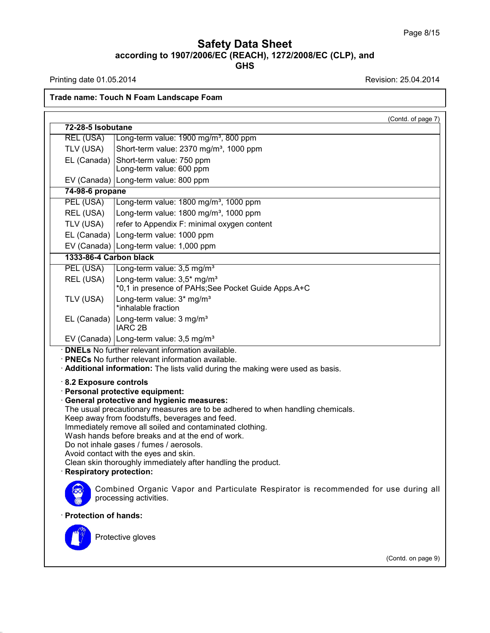Printing date 01.05.2014 **Revision: 25.04.2014** 

38.0.33

## **Trade name: Touch N Foam Landscape Foam**

|                                                          | (Contd. of page 7)                                                                                                                                                                                                                                                                                                                                                                                                                                                                                                                                                                                                            |
|----------------------------------------------------------|-------------------------------------------------------------------------------------------------------------------------------------------------------------------------------------------------------------------------------------------------------------------------------------------------------------------------------------------------------------------------------------------------------------------------------------------------------------------------------------------------------------------------------------------------------------------------------------------------------------------------------|
| 72-28-5 Isobutane                                        |                                                                                                                                                                                                                                                                                                                                                                                                                                                                                                                                                                                                                               |
| <b>REL (USA)</b>                                         | Long-term value: 1900 mg/m <sup>3</sup> , 800 ppm                                                                                                                                                                                                                                                                                                                                                                                                                                                                                                                                                                             |
| TLV (USA)                                                | Short-term value: 2370 mg/m <sup>3</sup> , 1000 ppm                                                                                                                                                                                                                                                                                                                                                                                                                                                                                                                                                                           |
| EL (Canada)                                              | Short-term value: 750 ppm<br>Long-term value: 600 ppm                                                                                                                                                                                                                                                                                                                                                                                                                                                                                                                                                                         |
|                                                          | EV (Canada) Long-term value: 800 ppm                                                                                                                                                                                                                                                                                                                                                                                                                                                                                                                                                                                          |
| 74-98-6 propane                                          |                                                                                                                                                                                                                                                                                                                                                                                                                                                                                                                                                                                                                               |
| PEL (USA)                                                | Long-term value: 1800 mg/m <sup>3</sup> , 1000 ppm                                                                                                                                                                                                                                                                                                                                                                                                                                                                                                                                                                            |
| REL (USA)                                                | Long-term value: 1800 mg/m <sup>3</sup> , 1000 ppm                                                                                                                                                                                                                                                                                                                                                                                                                                                                                                                                                                            |
| TLV (USA)                                                | refer to Appendix F: minimal oxygen content                                                                                                                                                                                                                                                                                                                                                                                                                                                                                                                                                                                   |
|                                                          | EL (Canada) Long-term value: 1000 ppm                                                                                                                                                                                                                                                                                                                                                                                                                                                                                                                                                                                         |
|                                                          | EV (Canada) Long-term value: 1,000 ppm                                                                                                                                                                                                                                                                                                                                                                                                                                                                                                                                                                                        |
| 1333-86-4 Carbon black                                   |                                                                                                                                                                                                                                                                                                                                                                                                                                                                                                                                                                                                                               |
| PEL (USA)                                                | Long-term value: 3,5 mg/m <sup>3</sup>                                                                                                                                                                                                                                                                                                                                                                                                                                                                                                                                                                                        |
| REL (USA)                                                | Long-term value: 3,5* mg/m <sup>3</sup>                                                                                                                                                                                                                                                                                                                                                                                                                                                                                                                                                                                       |
|                                                          | *0,1 in presence of PAHs;See Pocket Guide Apps.A+C                                                                                                                                                                                                                                                                                                                                                                                                                                                                                                                                                                            |
| TLV (USA)                                                | Long-term value: 3* mg/m <sup>3</sup>                                                                                                                                                                                                                                                                                                                                                                                                                                                                                                                                                                                         |
|                                                          | *inhalable fraction                                                                                                                                                                                                                                                                                                                                                                                                                                                                                                                                                                                                           |
| EL (Canada)                                              | Long-term value: 3 mg/m <sup>3</sup><br><b>IARC 2B</b>                                                                                                                                                                                                                                                                                                                                                                                                                                                                                                                                                                        |
|                                                          | EV (Canada) Long-term value: 3,5 mg/m <sup>3</sup>                                                                                                                                                                                                                                                                                                                                                                                                                                                                                                                                                                            |
| 8.2 Exposure controls                                    | · PNECs No further relevant information available.<br>Additional information: The lists valid during the making were used as basis.<br>· Personal protective equipment:<br>General protective and hygienic measures:<br>The usual precautionary measures are to be adhered to when handling chemicals.<br>Keep away from foodstuffs, beverages and feed.<br>Immediately remove all soiled and contaminated clothing.<br>Wash hands before breaks and at the end of work.<br>Do not inhale gases / fumes / aerosols.<br>Avoid contact with the eyes and skin.<br>Clean skin thoroughly immediately after handling the product. |
| <b>Respiratory protection:</b><br>· Protection of hands: | Combined Organic Vapor and Particulate Respirator is recommended for use during all<br>processing activities.                                                                                                                                                                                                                                                                                                                                                                                                                                                                                                                 |
|                                                          | Protective gloves                                                                                                                                                                                                                                                                                                                                                                                                                                                                                                                                                                                                             |

(Contd. on page 9)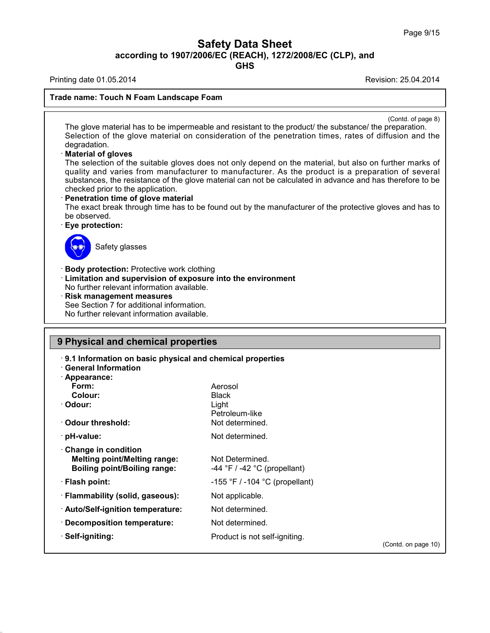**GHS**

Printing date 01.05.2014 **Printing date 01.05.2014** 

#### **Trade name: Touch N Foam Landscape Foam**

(Contd. of page 8)

The glove material has to be impermeable and resistant to the product/ the substance/ the preparation. Selection of the glove material on consideration of the penetration times, rates of diffusion and the degradation.

#### · **Material of gloves**

The selection of the suitable gloves does not only depend on the material, but also on further marks of quality and varies from manufacturer to manufacturer. As the product is a preparation of several substances, the resistance of the glove material can not be calculated in advance and has therefore to be checked prior to the application.

#### · **Penetration time of glove material**

The exact break through time has to be found out by the manufacturer of the protective gloves and has to be observed.

#### · **Eye protection:**



38.0.33

Safety glasses

· **Body protection:** Protective work clothing

· **Limitation and supervision of exposure into the environment**

No further relevant information available.

· **Risk management measures**

See Section 7 for additional information.

No further relevant information available.

## **9 Physical and chemical properties**

| 9.1 Information on basic physical and chemical properties<br><b>General Information</b><br>· Appearance: |                                                     |                     |
|----------------------------------------------------------------------------------------------------------|-----------------------------------------------------|---------------------|
| Form:                                                                                                    | Aerosol                                             |                     |
| Colour:                                                                                                  | <b>Black</b>                                        |                     |
| · Odour:                                                                                                 | Light                                               |                     |
|                                                                                                          | Petroleum-like                                      |                     |
| Odour threshold:                                                                                         | Not determined.                                     |                     |
| · pH-value:                                                                                              | Not determined.                                     |                     |
| Change in condition<br><b>Melting point/Melting range:</b><br><b>Boiling point/Boiling range:</b>        | Not Determined.<br>$-44$ °F / $-42$ °C (propellant) |                     |
| $\cdot$ Flash point:                                                                                     | $-155$ °F / $-104$ °C (propellant)                  |                     |
| $\cdot$ Flammability (solid, gaseous):                                                                   | Not applicable.                                     |                     |
| · Auto/Self-ignition temperature:                                                                        | Not determined.                                     |                     |
| · Decomposition temperature:                                                                             | Not determined.                                     |                     |
| · Self-igniting:                                                                                         | Product is not self-igniting.                       |                     |
|                                                                                                          |                                                     | (Contd. on page 10) |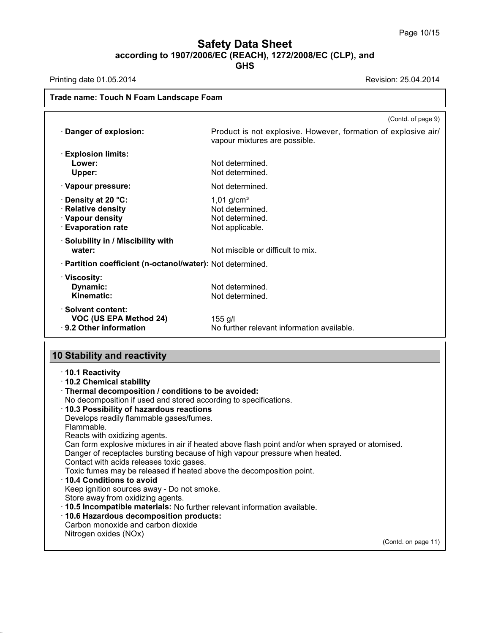Printing date 01.05.2014 **Printing date 01.05.2014** 

38.0.33

### **Trade name: Touch N Foam Landscape Foam**

| Product is not explosive. However, formation of explosive air/<br>vapour mixtures are possible.<br>Not determined.<br>Not determined. |
|---------------------------------------------------------------------------------------------------------------------------------------|
|                                                                                                                                       |
|                                                                                                                                       |
|                                                                                                                                       |
| Not determined.                                                                                                                       |
| $1,01$ g/cm <sup>3</sup><br>Not determined.<br>Not determined.<br>Not applicable.                                                     |
| Not miscible or difficult to mix.                                                                                                     |
| · Partition coefficient (n-octanol/water): Not determined.                                                                            |
| Not determined.<br>Not determined.                                                                                                    |
| No further relevant information available.                                                                                            |
|                                                                                                                                       |

· **10.2 Chemical stability** · **Thermal decomposition / conditions to be avoided:** No decomposition if used and stored according to specifications. · **10.3 Possibility of hazardous reactions** Develops readily flammable gases/fumes. Flammable. Reacts with oxidizing agents. Can form explosive mixtures in air if heated above flash point and/or when sprayed or atomised. Danger of receptacles bursting because of high vapour pressure when heated. Contact with acids releases toxic gases. Toxic fumes may be released if heated above the decomposition point. · **10.4 Conditions to avoid** Keep ignition sources away - Do not smoke. Store away from oxidizing agents. · **10.5 Incompatible materials:** No further relevant information available. · **10.6 Hazardous decomposition products:** Carbon monoxide and carbon dioxide Nitrogen oxides (NOx) (Contd. on page 11)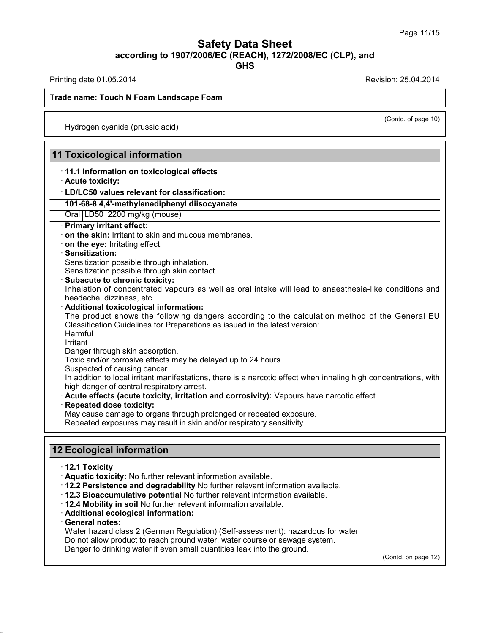Printing date 01.05.2014 **Review 1.03.2014** Revision: 25.04.2014

(Contd. of page 10)

#### **Trade name: Touch N Foam Landscape Foam**

Hydrogen cyanide (prussic acid)

## **11 Toxicological information**

## · **11.1 Information on toxicological effects**

· **Acute toxicity:**

### · **LD/LC50 values relevant for classification:**

#### **101-68-8 4,4'-methylenediphenyl diisocyanate**

Oral LD50 2200 mg/kg (mouse)

### · **Primary irritant effect:**

· **on the skin:** Irritant to skin and mucous membranes.

· **on the eye:** Irritating effect.

#### · **Sensitization:**

Sensitization possible through inhalation.

Sensitization possible through skin contact.

· **Subacute to chronic toxicity:**

Inhalation of concentrated vapours as well as oral intake will lead to anaesthesia-like conditions and headache, dizziness, etc.

### · **Additional toxicological information:**

The product shows the following dangers according to the calculation method of the General EU Classification Guidelines for Preparations as issued in the latest version: **Harmful** 

Irritant

Danger through skin adsorption.

Toxic and/or corrosive effects may be delayed up to 24 hours.

Suspected of causing cancer.

In addition to local irritant manifestations, there is a narcotic effect when inhaling high concentrations, with high danger of central respiratory arrest.

- · **Acute effects (acute toxicity, irritation and corrosivity):** Vapours have narcotic effect.
- · **Repeated dose toxicity:**

May cause damage to organs through prolonged or repeated exposure.

Repeated exposures may result in skin and/or respiratory sensitivity.

## **12 Ecological information**

· **12.1 Toxicity**

- · **Aquatic toxicity:** No further relevant information available.
- · **12.2 Persistence and degradability** No further relevant information available.
- · **12.3 Bioaccumulative potential** No further relevant information available.
- · **12.4 Mobility in soil** No further relevant information available.
- · **Additional ecological information:**
- · **General notes:**

38.0.33

Water hazard class 2 (German Regulation) (Self-assessment): hazardous for water Do not allow product to reach ground water, water course or sewage system. Danger to drinking water if even small quantities leak into the ground.

(Contd. on page 12)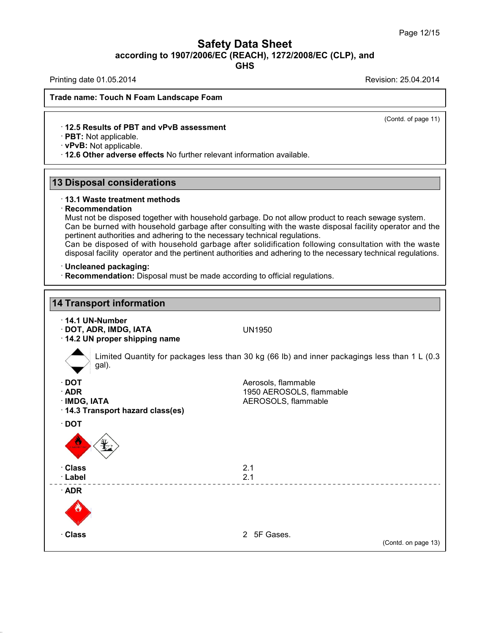**GHS**

Printing date 01.05.2014 **Printing date 01.05.2014** 

(Contd. of page 11)

### **Trade name: Touch N Foam Landscape Foam**

### · **12.5 Results of PBT and vPvB assessment**

· **PBT:** Not applicable.

· **vPvB:** Not applicable.

· **12.6 Other adverse effects** No further relevant information available.

## **13 Disposal considerations**

### · **13.1 Waste treatment methods**

#### · **Recommendation**

Must not be disposed together with household garbage. Do not allow product to reach sewage system. Can be burned with household garbage after consulting with the waste disposal facility operator and the pertinent authorities and adhering to the necessary technical regulations.

Can be disposed of with household garbage after solidification following consultation with the waste disposal facility operator and the pertinent authorities and adhering to the necessary technical regulations.

#### · **Uncleaned packaging:**

38.0.33

· **Recommendation:** Disposal must be made according to official regulations.

# **14 Transport information** · **14.1 UN-Number** · **DOT, ADR, IMDG, IATA** UN1950 · **14.2 UN proper shipping name** Limited Quantity for packages less than 30 kg (66 lb) and inner packagings less than 1 L (0.3 gal). · **DOT** Aerosols, flammable · **ADR** 1950 AEROSOLS, flammable<br>· **IMDG. IATA** 1950 AEROSOLS. flammable AEROSOLS, flammable · **14.3 Transport hazard class(es)** · **DOT** · **Class** 2.1 · **Label** 2.1 · **ADR** · **Class** 2 5F Gases. (Contd. on page 13)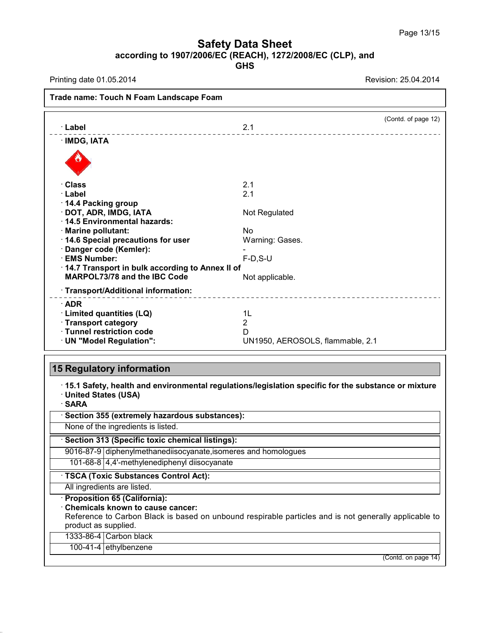**GHS**

Printing date 01.05.2014 **Revision: 25.04.2014** 

| 2.1<br>· Class<br>2.1<br>· Label<br>14.4 Packing group<br>· DOT, ADR, IMDG, IATA<br>Not Regulated<br>14.5 Environmental hazards:<br>· Marine pollutant:<br><b>No</b><br>14.6 Special precautions for user<br>Warning: Gases.<br>Danger code (Kemler):<br>· EMS Number:<br>$F-D, S-U$<br>14.7 Transport in bulk according to Annex II of<br><b>MARPOL73/78 and the IBC Code</b><br>Not applicable.<br>· Transport/Additional information:<br>$\cdot$ ADR<br>· Limited quantities (LQ)<br>1L<br>· Transport category<br>$\overline{2}$<br>· Tunnel restriction code<br>D<br>· UN "Model Regulation":<br>UN1950, AEROSOLS, flammable, 2.1<br><b>15 Regulatory information</b><br>15.1 Safety, health and environmental regulations/legislation specific for the substance or mixture<br>· United States (USA)<br>· SARA | · Label      | 2.1 | (Contd. of page 12) |
|----------------------------------------------------------------------------------------------------------------------------------------------------------------------------------------------------------------------------------------------------------------------------------------------------------------------------------------------------------------------------------------------------------------------------------------------------------------------------------------------------------------------------------------------------------------------------------------------------------------------------------------------------------------------------------------------------------------------------------------------------------------------------------------------------------------------|--------------|-----|---------------------|
|                                                                                                                                                                                                                                                                                                                                                                                                                                                                                                                                                                                                                                                                                                                                                                                                                      | · IMDG, IATA |     |                     |
|                                                                                                                                                                                                                                                                                                                                                                                                                                                                                                                                                                                                                                                                                                                                                                                                                      |              |     |                     |
|                                                                                                                                                                                                                                                                                                                                                                                                                                                                                                                                                                                                                                                                                                                                                                                                                      |              |     |                     |
|                                                                                                                                                                                                                                                                                                                                                                                                                                                                                                                                                                                                                                                                                                                                                                                                                      |              |     |                     |
|                                                                                                                                                                                                                                                                                                                                                                                                                                                                                                                                                                                                                                                                                                                                                                                                                      |              |     |                     |
|                                                                                                                                                                                                                                                                                                                                                                                                                                                                                                                                                                                                                                                                                                                                                                                                                      |              |     |                     |
|                                                                                                                                                                                                                                                                                                                                                                                                                                                                                                                                                                                                                                                                                                                                                                                                                      |              |     |                     |
|                                                                                                                                                                                                                                                                                                                                                                                                                                                                                                                                                                                                                                                                                                                                                                                                                      |              |     |                     |
|                                                                                                                                                                                                                                                                                                                                                                                                                                                                                                                                                                                                                                                                                                                                                                                                                      |              |     |                     |
|                                                                                                                                                                                                                                                                                                                                                                                                                                                                                                                                                                                                                                                                                                                                                                                                                      |              |     |                     |
|                                                                                                                                                                                                                                                                                                                                                                                                                                                                                                                                                                                                                                                                                                                                                                                                                      |              |     |                     |
|                                                                                                                                                                                                                                                                                                                                                                                                                                                                                                                                                                                                                                                                                                                                                                                                                      |              |     |                     |
|                                                                                                                                                                                                                                                                                                                                                                                                                                                                                                                                                                                                                                                                                                                                                                                                                      |              |     |                     |
|                                                                                                                                                                                                                                                                                                                                                                                                                                                                                                                                                                                                                                                                                                                                                                                                                      |              |     |                     |
|                                                                                                                                                                                                                                                                                                                                                                                                                                                                                                                                                                                                                                                                                                                                                                                                                      |              |     |                     |
|                                                                                                                                                                                                                                                                                                                                                                                                                                                                                                                                                                                                                                                                                                                                                                                                                      |              |     |                     |
|                                                                                                                                                                                                                                                                                                                                                                                                                                                                                                                                                                                                                                                                                                                                                                                                                      |              |     |                     |
|                                                                                                                                                                                                                                                                                                                                                                                                                                                                                                                                                                                                                                                                                                                                                                                                                      |              |     |                     |
|                                                                                                                                                                                                                                                                                                                                                                                                                                                                                                                                                                                                                                                                                                                                                                                                                      |              |     |                     |
|                                                                                                                                                                                                                                                                                                                                                                                                                                                                                                                                                                                                                                                                                                                                                                                                                      |              |     |                     |
|                                                                                                                                                                                                                                                                                                                                                                                                                                                                                                                                                                                                                                                                                                                                                                                                                      |              |     |                     |
|                                                                                                                                                                                                                                                                                                                                                                                                                                                                                                                                                                                                                                                                                                                                                                                                                      |              |     |                     |

· **Section 313 (Specific toxic chemical listings):**

9016-87-9 diphenylmethanediisocyanate,isomeres and homologues

101-68-8 4,4'-methylenediphenyl diisocyanate

· **TSCA (Toxic Substances Control Act):**

All ingredients are listed.

· **Proposition 65 (California):**

· **Chemicals known to cause cancer:**

Reference to Carbon Black is based on unbound respirable particles and is not generally applicable to product as supplied.

1333-86-4 Carbon black

38.0.33

100-41-4 ethylbenzene

(Contd. on page 14)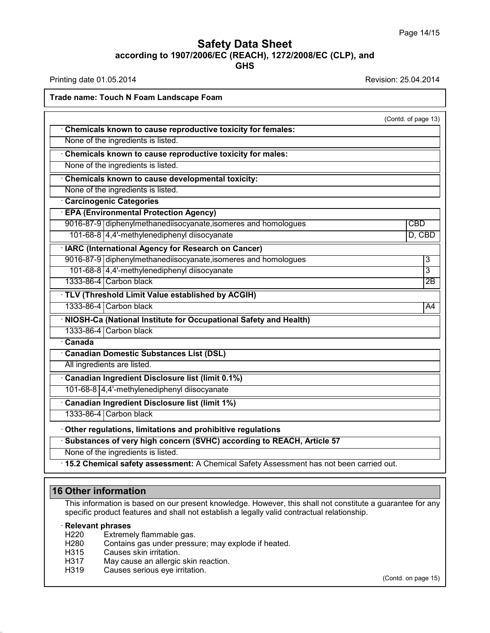Printing date 01.05.2014 **Revision: 25.04.2014** 

## **Trade name: Touch N Foam Landscape Foam**

|                                                                                           | (Contd. of page 13) |
|-------------------------------------------------------------------------------------------|---------------------|
| Chemicals known to cause reproductive toxicity for females:                               |                     |
| None of the ingredients is listed.                                                        |                     |
| Chemicals known to cause reproductive toxicity for males:                                 |                     |
| None of the ingredients is listed.                                                        |                     |
| Chemicals known to cause developmental toxicity:                                          |                     |
| None of the ingredients is listed.                                                        |                     |
| <b>Carcinogenic Categories</b>                                                            |                     |
| <b>EPA (Environmental Protection Agency)</b>                                              |                     |
| 9016-87-9 diphenylmethanediisocyanate, isomeres and homologues                            | <b>CBD</b>          |
| 101-68-8 4,4'-methylenediphenyl diisocyanate                                              | D, CBD              |
| · IARC (International Agency for Research on Cancer)                                      |                     |
| 9016-87-9 diphenylmethanediisocyanate, isomeres and homologues                            | 3                   |
| 101-68-8 4,4'-methylenediphenyl diisocyanate                                              | 3                   |
| 1333-86-4 Carbon black                                                                    | $\overline{2B}$     |
| · TLV (Threshold Limit Value established by ACGIH)                                        |                     |
| 1333-86-4 Carbon black                                                                    | A4                  |
| · NIOSH-Ca (National Institute for Occupational Safety and Health)                        |                     |
| 1333-86-4 Carbon black                                                                    |                     |
| Canada                                                                                    |                     |
| <b>Canadian Domestic Substances List (DSL)</b>                                            |                     |
| All ingredients are listed.                                                               |                     |
| Canadian Ingredient Disclosure list (limit 0.1%)                                          |                     |
| 101-68-8 4,4'-methylenediphenyl diisocyanate                                              |                     |
| <b>Canadian Ingredient Disclosure list (limit 1%)</b>                                     |                     |
| 1333-86-4 Carbon black                                                                    |                     |
| Other regulations, limitations and prohibitive regulations                                |                     |
| Substances of very high concern (SVHC) according to REACH, Article 57                     |                     |
| None of the ingredients is listed.                                                        |                     |
| · 15.2 Chemical safety assessment: A Chemical Safety Assessment has not been carried out. |                     |

## **16 Other information**

This information is based on our present knowledge. However, this shall not constitute a guarantee for any specific product features and shall not establish a legally valid contractual relationship.

# · **Relevant phrases**

38.0.33

- H220 Extremely flammable gas.<br>H280 Contains gas under pressu
- Contains gas under pressure; may explode if heated.
- H315 Causes skin irritation.
- H317 May cause an allergic skin reaction.<br>H319 Causes serious eve irritation.
- Causes serious eye irritation.

(Contd. on page 15)